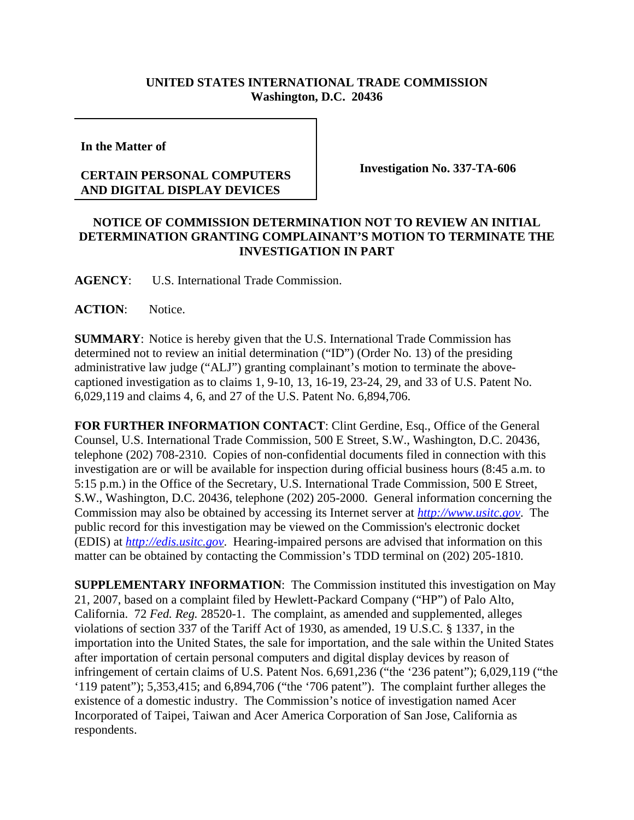## **UNITED STATES INTERNATIONAL TRADE COMMISSION Washington, D.C. 20436**

**In the Matter of** 

## **CERTAIN PERSONAL COMPUTERS AND DIGITAL DISPLAY DEVICES**

**Investigation No. 337-TA-606**

## **NOTICE OF COMMISSION DETERMINATION NOT TO REVIEW AN INITIAL DETERMINATION GRANTING COMPLAINANT'S MOTION TO TERMINATE THE INVESTIGATION IN PART**

**AGENCY**: U.S. International Trade Commission.

## **ACTION**: Notice.

**SUMMARY**: Notice is hereby given that the U.S. International Trade Commission has determined not to review an initial determination ("ID") (Order No. 13) of the presiding administrative law judge ("ALJ") granting complainant's motion to terminate the abovecaptioned investigation as to claims 1, 9-10, 13, 16-19, 23-24, 29, and 33 of U.S. Patent No. 6,029,119 and claims 4, 6, and 27 of the U.S. Patent No. 6,894,706.

**FOR FURTHER INFORMATION CONTACT**: Clint Gerdine, Esq., Office of the General Counsel, U.S. International Trade Commission, 500 E Street, S.W., Washington, D.C. 20436, telephone (202) 708-2310. Copies of non-confidential documents filed in connection with this investigation are or will be available for inspection during official business hours (8:45 a.m. to 5:15 p.m.) in the Office of the Secretary, U.S. International Trade Commission, 500 E Street, S.W., Washington, D.C. 20436, telephone (202) 205-2000. General information concerning the Commission may also be obtained by accessing its Internet server at *http://www.usitc.gov*. The public record for this investigation may be viewed on the Commission's electronic docket (EDIS) at *http://edis.usitc.gov*. Hearing-impaired persons are advised that information on this matter can be obtained by contacting the Commission's TDD terminal on (202) 205-1810.

**SUPPLEMENTARY INFORMATION**: The Commission instituted this investigation on May 21, 2007, based on a complaint filed by Hewlett-Packard Company ("HP") of Palo Alto, California. 72 *Fed. Reg.* 28520-1. The complaint, as amended and supplemented, alleges violations of section 337 of the Tariff Act of 1930, as amended, 19 U.S.C. § 1337, in the importation into the United States, the sale for importation, and the sale within the United States after importation of certain personal computers and digital display devices by reason of infringement of certain claims of U.S. Patent Nos. 6,691,236 ("the '236 patent"); 6,029,119 ("the '119 patent"); 5,353,415; and 6,894,706 ("the '706 patent"). The complaint further alleges the existence of a domestic industry. The Commission's notice of investigation named Acer Incorporated of Taipei, Taiwan and Acer America Corporation of San Jose, California as respondents.